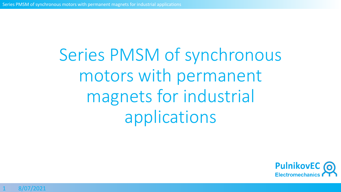Series PMSM of synchronous motors with permanent magnets for industrial applications

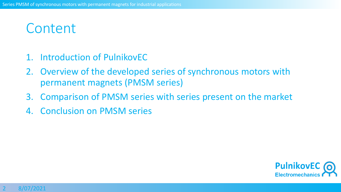# **Content**

- 1. Introduction of PulnikovEC
- 2. Overview of the developed series of synchronous motors with permanent magnets (PMSM series)
- 3. Comparison of PMSM series with series present on the market
- 4. Conclusion on PMSM series

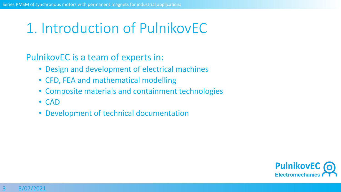# 1. Introduction of PulnikovEC

PulnikovEC is a team of experts in:

- Design and development of electrical machines
- CFD, FEA and mathematical modelling
- Composite materials and containment technologies
- CAD
- Development of technical documentation

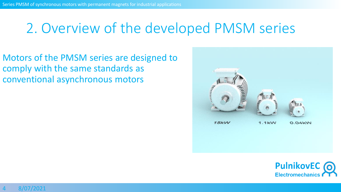Motors of the PMSM series are designed to comply with the same standards as conventional asynchronous motors



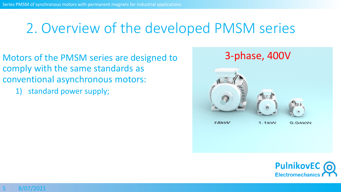- Motors of the PMSM series are designed to comply with the same standards as conventional asynchronous motors:
	- 1) standard power supply;



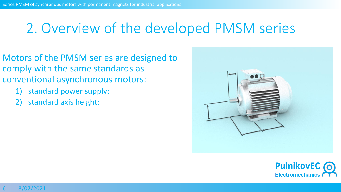- Motors of the PMSM series are designed to comply with the same standards as conventional asynchronous motors:
	- 1) standard power supply;
	- 2) standard axis height;



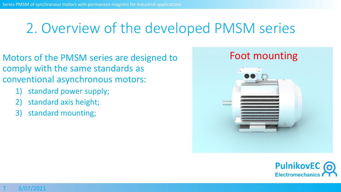- Motors of the PMSM series are designed to comply with the same standards as conventional asynchronous motors:
	- 1) standard power supply;
	- 2) standard axis height;
	- 3) standard mounting;



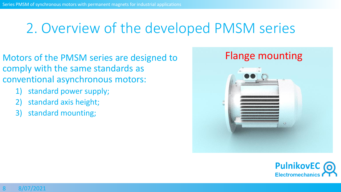- Motors of the PMSM series are designed to comply with the same standards as conventional asynchronous motors:
	- 1) standard power supply;
	- 2) standard axis height;
	- 3) standard mounting;



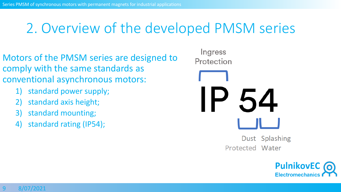- Motors of the PMSM series are designed to comply with the same standards as conventional asynchronous motors:
	- 1) standard power supply;
	- 2) standard axis height;
	- 3) standard mounting;
	- standard rating (IP54);

Ingress Protection Dust Splashing Protected Water

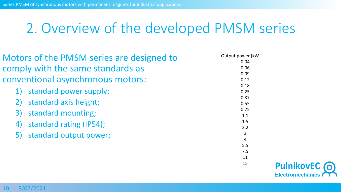| Motors of the PMSM series are designed to | Output power [kW]     |
|-------------------------------------------|-----------------------|
|                                           | 0.04                  |
| comply with the same standards as         | 0.06                  |
|                                           | 0.09                  |
| conventional asynchronous motors:         | 0.12                  |
|                                           | 0.18                  |
| standard power supply;                    | 0.25                  |
| standard axis height;                     | 0.37                  |
|                                           | 0.55                  |
| standard mounting;<br>3)                  | 0.75                  |
|                                           | 1.1                   |
| standard rating (IP54);<br>4)             | 1.5                   |
|                                           | 2.2                   |
| standard output power;                    | $\overline{3}$        |
|                                           | $\overline{4}$<br>5.5 |
|                                           |                       |
|                                           | 7.5                   |
|                                           | 11<br>15              |
|                                           |                       |

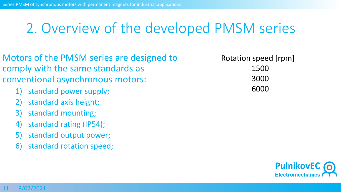- Motors of the PMSM series are designed to comply with the same standards as conventional asynchronous motors:
	- 1) standard power supply;
	- 2) standard axis height;
	- 3) standard mounting;
	- 4) standard rating (IP54);
	- 5) standard output power;
	- 6) standard rotation speed;

Rotation speed [rpm] 1500 3000 6000

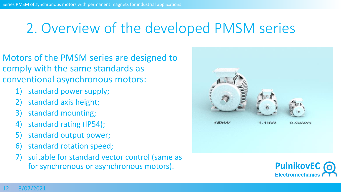- Motors of the PMSM series are designed to comply with the same standards as conventional asynchronous motors:
	- 1) standard power supply;
	- 2) standard axis height;
	- 3) standard mounting;
	- 4) standard rating (IP54);
	- 5) standard output power;
	- 6) standard rotation speed;
	- suitable for standard vector control (same as for synchronous or asynchronous motors).



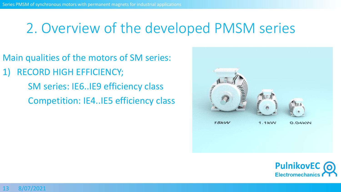Main qualities of the motors of SM series:

RECORD HIGH EFFICIENCY; SM series: IE6..IE9 efficiency class Competition: IE4..IE5 efficiency class



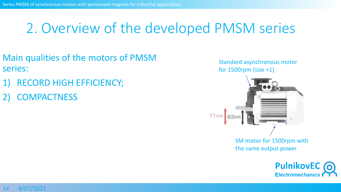- Main qualities of the motors of PMSM series:
- RECORD HIGH EFFICIENCY;
- **COMPACTNESS**



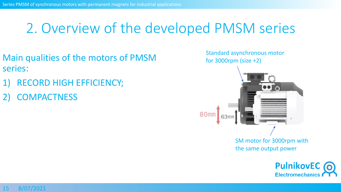- Main qualities of the motors of PMSM series:
- RECORD HIGH EFFICIENCY;
- **COMPACTNESS**



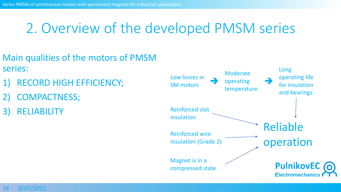- Main qualities of the motors of PMSM series:
- RECORD HIGH EFFICIENCY;
- 2) COMPACTNESS;
- **RELIABILITY**

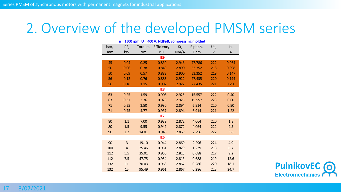| n = 1500 rpm, U = 400 V, NdFeB, compressing molded |                |         |             |       |         |     |       |  |
|----------------------------------------------------|----------------|---------|-------------|-------|---------|-----|-------|--|
| hax,                                               | P2,            | Torque, | Efficiency, | Kt,   | R phph, | Ua, | la,   |  |
| mm                                                 | kW             | Nm      | r.u.        | Nm/A  | Ohm     | V   | A     |  |
| IE9                                                |                |         |             |       |         |     |       |  |
| 45                                                 | 0.04           | 0.25    | 0.830       | 2.946 | 77.786  | 222 | 0.064 |  |
| 50                                                 | 0.06           | 0.38    | 0.849       | 2.890 | 53.352  | 218 | 0.098 |  |
| 50                                                 | 0.09           | 0.57    | 0.883       | 2.900 | 53.352  | 219 | 0.147 |  |
| 56                                                 | 0.12           | 0.76    | 0.883       | 2.922 | 27.435  | 220 | 0.194 |  |
| 56                                                 | 0.18           | 1.15    | 0.907       | 2.922 | 27.435  | 221 | 0.290 |  |
|                                                    |                |         | IE8         |       |         |     |       |  |
| 63                                                 | 0.25           | 1.59    | 0.908       | 2.925 | 15.557  | 222 | 0.40  |  |
| 63                                                 | 0.37           | 2.36    | 0.923       | 2.925 | 15.557  | 223 | 0.60  |  |
| 71                                                 | 0.55           | 3.50    | 0.930       | 2.894 | 6.914   | 220 | 0.90  |  |
| 71                                                 | 0.75           | 4.77    | 0.937       | 2.894 | 6.914   | 221 | 1.22  |  |
| IE7                                                |                |         |             |       |         |     |       |  |
| 80                                                 | 1.1            | 7.00    | 0.939       | 2.872 | 4.064   | 220 | 1.8   |  |
| 80                                                 | 1.5            | 9.55    | 0.942       | 2.872 | 4.064   | 222 | 2.5   |  |
| 90                                                 | 2.2            | 14.01   | 0.946       | 2.869 | 2.296   | 222 | 3.6   |  |
| IE <sub>6</sub>                                    |                |         |             |       |         |     |       |  |
| 90                                                 | $\overline{3}$ | 19.10   | 0.944       | 2.869 | 2.296   | 224 | 4.9   |  |
| 100                                                | 4              | 25.46   | 0.951       | 2.829 | 1.239   | 218 | 6.7   |  |
| 112                                                | 5.5            | 35.01   | 0.956       | 2.813 | 0.688   | 217 | 9.2   |  |
| 112                                                | 7.5            | 47.75   | 0.954       | 2.813 | 0.688   | 219 | 12.6  |  |
| 132                                                | 11             | 70.03   | 0.963       | 2.867 | 0.286   | 220 | 18.1  |  |
| 132                                                | 15             | 95.49   | 0.961       | 2.867 | 0.286   | 223 | 24.7  |  |

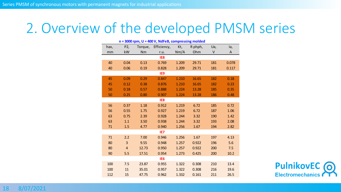|                 | $n = 3000$ rpm, $U = 400$ V, NdFeB, compressing molded |                |         |             |       |         |     |       |  |
|-----------------|--------------------------------------------------------|----------------|---------|-------------|-------|---------|-----|-------|--|
|                 | hax,                                                   | P <sub>2</sub> | Torque, | Efficiency, | Kt,   | R phph, | Ua, | la,   |  |
|                 | mm                                                     | kW             | Nm      | r.u.        | Nm/A  | Ohm     | V   | A     |  |
|                 |                                                        |                |         | IE8         |       |         |     |       |  |
|                 | 40                                                     | 0.04           | 0.13    | 0.769       | 1.209 | 29.71   | 181 | 0.078 |  |
|                 | 40                                                     | 0.06           | 0.19    | 0.828       | 1.209 | 29.71   | 181 | 0.117 |  |
| IE9             |                                                        |                |         |             |       |         |     |       |  |
|                 | 45                                                     | 0.09           | 0.29    | 0.847       | 1.210 | 16.65   | 182 | 0.18  |  |
|                 | 45                                                     | 0.12           | 0.38    | 0.876       | 1.210 | 16.65   | 182 | 0.23  |  |
|                 | 50                                                     | 0.18           | 0.57    | 0.888       | 1.224 | 13.28   | 185 | 0.35  |  |
|                 | 50                                                     | 0.25           | 0.80    | 0.907       | 1.224 | 13.28   | 186 | 0.48  |  |
|                 |                                                        |                |         | IE8         |       |         |     |       |  |
|                 | 56                                                     | 0.37           | 1.18    | 0.912       | 1.219 | 6.72    | 185 | 0.72  |  |
|                 | 56                                                     | 0.55           | 1.75    | 0.927       | 1.219 | 6.72    | 187 | 1.06  |  |
|                 | 63                                                     | 0.75           | 2.39    | 0.928       | 1.244 | 3.32    | 190 | 1.42  |  |
|                 | 63                                                     | 1.1            | 3.50    | 0.938       | 1.244 | 3.32    | 193 | 2.08  |  |
|                 | 71                                                     | 1.5            | 4.77    | 0.940       | 1.256 | 1.67    | 194 | 2.82  |  |
| IE7             |                                                        |                |         |             |       |         |     |       |  |
|                 | 71                                                     | 2.2            | 7.00    | 0.946       | 1.256 | 1.67    | 197 | 4.13  |  |
|                 | 80                                                     | 3              | 9.55    | 0.948       | 1.257 | 0.922   | 196 | 5.6   |  |
|                 | 80                                                     | $\overline{4}$ | 12.73   | 0.950       | 1.257 | 0.922   | 200 | 7.5   |  |
|                 | 90                                                     | 5.5            | 17.51   | 0.954       | 1.273 | 0.425   | 200 | 10.2  |  |
| IE <sub>6</sub> |                                                        |                |         |             |       |         |     |       |  |
|                 | 100                                                    | 7.5            | 23.87   | 0.955       | 1.322 | 0.308   | 210 | 13.4  |  |
|                 | 100                                                    | 11             | 35.01   | 0.957       | 1.322 | 0.308   | 216 | 19.6  |  |
|                 | 112                                                    | 15             | 47.75   | 0.962       | 1.332 | 0.161   | 211 | 26.5  |  |



8/07/2021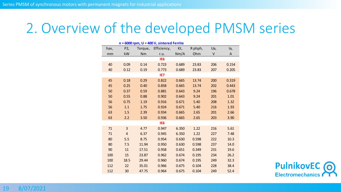| $n = 6000$ rpm, $U = 400$ V, sintered Ferrite |                |         |                 |       |         |     |       |  |  |
|-----------------------------------------------|----------------|---------|-----------------|-------|---------|-----|-------|--|--|
| hax,                                          | P2,            | Torque, | Efficiency,     | Kt,   | R phph, | Ua, | la,   |  |  |
| mm                                            | kW             | Nm      | r.u.            | Nm/A  | Ohm     | V   | A     |  |  |
|                                               |                |         | IE <sub>6</sub> |       |         |     |       |  |  |
| 40                                            | 0.09           | 0.14    | 0.723           | 0.689 | 23.83   | 206 | 0.154 |  |  |
| 40                                            | 0.12           | 0.19    | 0.773           | 0.689 | 23.83   | 207 | 0.205 |  |  |
| IE7                                           |                |         |                 |       |         |     |       |  |  |
| 45                                            | 0.18           | 0.29    | 0.822           | 0.665 | 13.74   | 200 | 0.319 |  |  |
| 45                                            | 0.25           | 0.40    | 0.858           | 0.665 | 13.74   | 202 | 0.443 |  |  |
| 50                                            | 0.37           | 0.59    | 0.881           | 0.643 | 9.24    | 196 | 0.678 |  |  |
| 50                                            | 0.55           | 0.88    | 0.902           | 0.643 | 9.24    | 201 | 1.01  |  |  |
| 56                                            | 0.75           | 1.19    | 0.916           | 0.671 | 5.40    | 208 | 1.32  |  |  |
| 56                                            | 1.1            | 1.75    | 0.924           | 0.671 | 5.40    | 216 | 1.93  |  |  |
| 63                                            | 1.5            | 2.39    | 0.934           | 0.665 | 2.65    | 201 | 2.66  |  |  |
| 63                                            | 2.2            | 3.50    | 0.936           | 0.665 | 2.65    | 203 | 3.90  |  |  |
| IE <sub>6</sub>                               |                |         |                 |       |         |     |       |  |  |
| 71                                            | 3              | 4.77    | 0.947           | 6.350 | 1.22    | 216 | 5.61  |  |  |
| 71                                            | $\overline{4}$ | 6.37    | 0.945           | 6.350 | 1.22    | 227 | 7.48  |  |  |
| 80                                            | 5.5            | 8.75    | 0.954           | 0.630 | 0.598   | 222 | 10.3  |  |  |
| 80                                            | 7.5            | 11.94   | 0.950           | 0.630 | 0.598   | 237 | 14.0  |  |  |
| 90                                            | 11             | 17.51   | 0.958           | 0.651 | 0.349   | 231 | 19.6  |  |  |
| 100                                           | 15             | 23.87   | 0.962           | 0.674 | 0.195   | 234 | 26.2  |  |  |
| 100                                           | 18.5           | 29.44   | 0.960           | 0.674 | 0.195   | 249 | 32.3  |  |  |
| 112                                           | 22             | 35.01   | 0.966           | 0.675 | 0.104   | 228 | 38.4  |  |  |
| 112                                           | 30             | 47.75   | 0.964           | 0.675 | 0.104   | 249 | 52.4  |  |  |

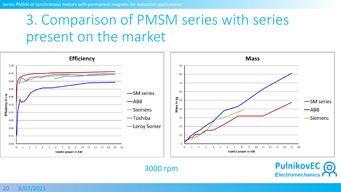20 8/07/2021

# 3. Comparison of PMSM series with series present on the market



3000 rpm